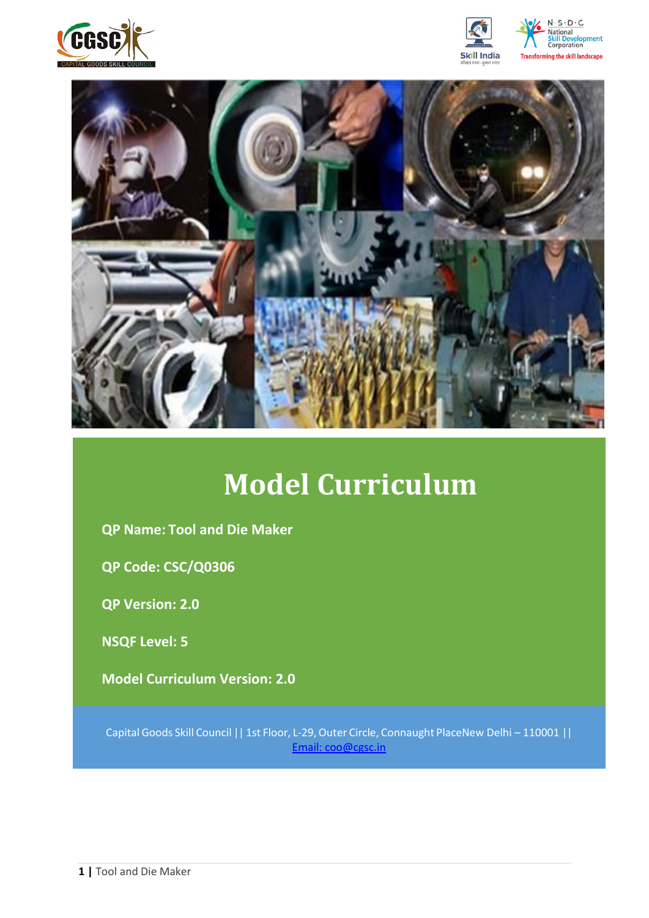







# **Model Curriculum**

**QP Name: Tool and Die Maker** 

**QP Code: CSC/Q0306**

**QP Version: 2.0**

**NSQF Level: 5**

**Model Curriculum Version: 2.0** 

Capital Goods Skill Council || 1st Floor, L-29,Outer Circle, Connaught PlaceNew Delhi – 110001 || Email: [coo@cgsc.in](mailto:Email:%20coo@cgsc.in)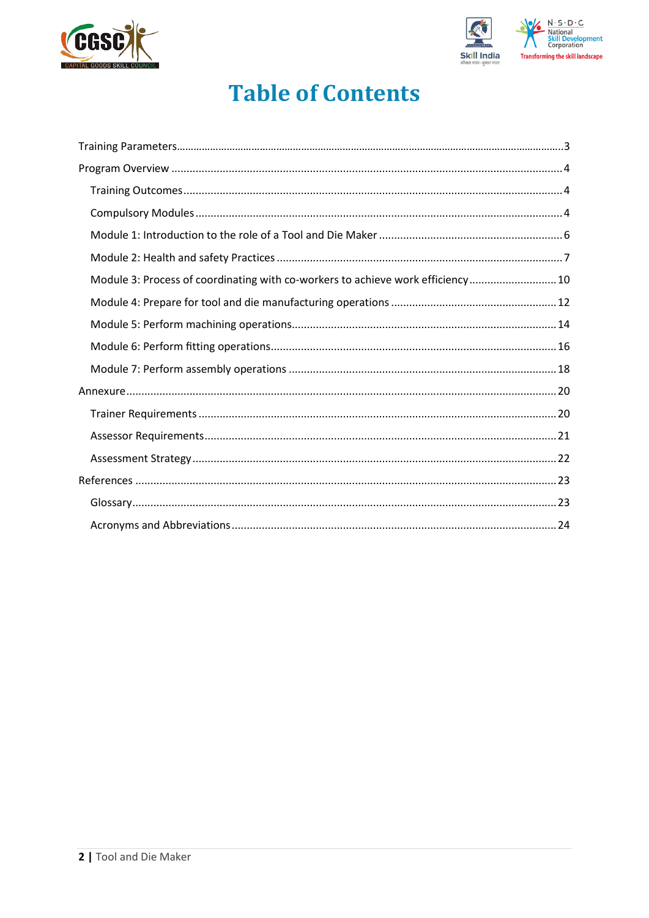



# **Table of Contents**

| Module 3: Process of coordinating with co-workers to achieve work efficiency 10 |  |
|---------------------------------------------------------------------------------|--|
|                                                                                 |  |
|                                                                                 |  |
|                                                                                 |  |
|                                                                                 |  |
|                                                                                 |  |
|                                                                                 |  |
|                                                                                 |  |
|                                                                                 |  |
|                                                                                 |  |
|                                                                                 |  |
|                                                                                 |  |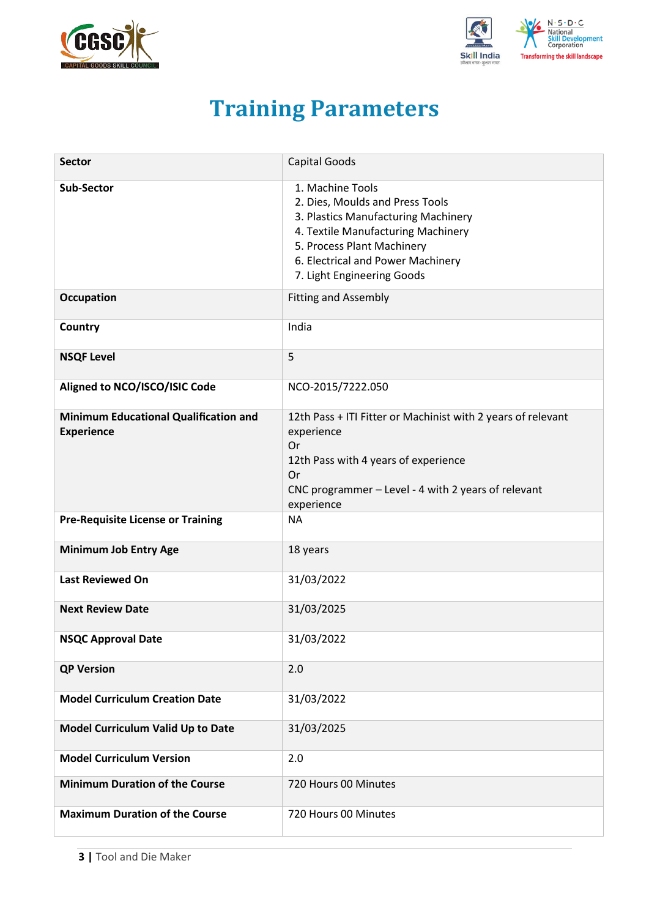<span id="page-2-0"></span>



# **Training Parameters**

| <b>Sector</b>                                                     | Capital Goods                                                                                                                                                                                                                     |
|-------------------------------------------------------------------|-----------------------------------------------------------------------------------------------------------------------------------------------------------------------------------------------------------------------------------|
| <b>Sub-Sector</b>                                                 | 1. Machine Tools<br>2. Dies, Moulds and Press Tools<br>3. Plastics Manufacturing Machinery<br>4. Textile Manufacturing Machinery<br>5. Process Plant Machinery<br>6. Electrical and Power Machinery<br>7. Light Engineering Goods |
| <b>Occupation</b>                                                 | <b>Fitting and Assembly</b>                                                                                                                                                                                                       |
| Country                                                           | India                                                                                                                                                                                                                             |
| <b>NSQF Level</b>                                                 | 5                                                                                                                                                                                                                                 |
| Aligned to NCO/ISCO/ISIC Code                                     | NCO-2015/7222.050                                                                                                                                                                                                                 |
| <b>Minimum Educational Qualification and</b><br><b>Experience</b> | 12th Pass + ITI Fitter or Machinist with 2 years of relevant<br>experience<br>Or<br>12th Pass with 4 years of experience<br>Or<br>CNC programmer - Level - 4 with 2 years of relevant<br>experience                               |
| <b>Pre-Requisite License or Training</b>                          | <b>NA</b>                                                                                                                                                                                                                         |
| <b>Minimum Job Entry Age</b>                                      | 18 years                                                                                                                                                                                                                          |
| <b>Last Reviewed On</b>                                           | 31/03/2022                                                                                                                                                                                                                        |
| <b>Next Review Date</b>                                           | 31/03/2025                                                                                                                                                                                                                        |
| <b>NSQC Approval Date</b>                                         | 31/03/2022                                                                                                                                                                                                                        |
| <b>QP Version</b>                                                 | 2.0                                                                                                                                                                                                                               |
| <b>Model Curriculum Creation Date</b>                             | 31/03/2022                                                                                                                                                                                                                        |
| Model Curriculum Valid Up to Date                                 | 31/03/2025                                                                                                                                                                                                                        |
| <b>Model Curriculum Version</b>                                   | 2.0                                                                                                                                                                                                                               |
| <b>Minimum Duration of the Course</b>                             | 720 Hours 00 Minutes                                                                                                                                                                                                              |
| <b>Maximum Duration of the Course</b>                             | 720 Hours 00 Minutes                                                                                                                                                                                                              |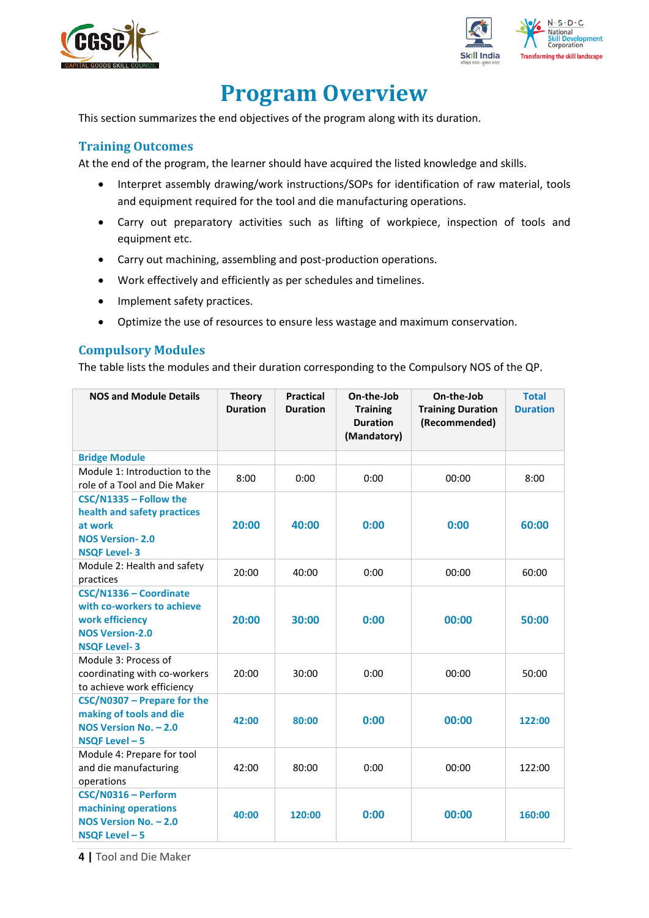



# **Program Overview**

<span id="page-3-0"></span>This section summarizes the end objectives of the program along with its duration.

### <span id="page-3-1"></span>**Training Outcomes**

<span id="page-3-2"></span>At the end of the program, the learner should have acquired the listed knowledge and skills.

- Interpret assembly drawing/work instructions/SOPs for identification of raw material, tools and equipment required for the tool and die manufacturing operations.
- Carry out preparatory activities such as lifting of workpiece, inspection of tools and equipment etc.
- Carry out machining, assembling and post-production operations.
- Work effectively and efficiently as per schedules and timelines.
- Implement safety practices.
- Optimize the use of resources to ensure less wastage and maximum conservation.

### **Compulsory Modules**

The table lists the modules and their duration corresponding to the Compulsory NOS of the QP.

| <b>NOS and Module Details</b>                                                                                            | <b>Theory</b><br><b>Duration</b> | <b>Practical</b><br><b>Duration</b> | On-the-Job<br><b>Training</b><br><b>Duration</b><br>(Mandatory) | On-the-Job<br><b>Training Duration</b><br>(Recommended) | <b>Total</b><br><b>Duration</b> |
|--------------------------------------------------------------------------------------------------------------------------|----------------------------------|-------------------------------------|-----------------------------------------------------------------|---------------------------------------------------------|---------------------------------|
| <b>Bridge Module</b>                                                                                                     |                                  |                                     |                                                                 |                                                         |                                 |
| Module 1: Introduction to the<br>role of a Tool and Die Maker                                                            | 8:00                             | 0:00                                | 0:00                                                            | 00:00                                                   | 8:00                            |
| CSC/N1335 - Follow the<br>health and safety practices<br>at work<br><b>NOS Version-2.0</b><br><b>NSQF Level-3</b>        | 20:00                            | 40:00                               | 0:00                                                            | 0:00                                                    | 60:00                           |
| Module 2: Health and safety<br>practices                                                                                 | 20:00                            | 40:00                               | 0:00                                                            | 00:00                                                   | 60:00                           |
| CSC/N1336 - Coordinate<br>with co-workers to achieve<br>work efficiency<br><b>NOS Version-2.0</b><br><b>NSQF Level-3</b> | 20:00                            | 30:00                               | 0:00                                                            | 00:00                                                   | 50:00                           |
| Module 3: Process of<br>coordinating with co-workers<br>to achieve work efficiency                                       | 20:00                            | 30:00                               | 0:00                                                            | 00:00                                                   | 50:00                           |
| CSC/N0307 - Prepare for the<br>making of tools and die<br>NOS Version No. - 2.0<br>NSQF Level - 5                        | 42:00                            | 80:00                               | 0:00                                                            | 00:00                                                   | 122:00                          |
| Module 4: Prepare for tool<br>and die manufacturing<br>operations                                                        | 42:00                            | 80:00                               | 0:00                                                            | 00:00                                                   | 122:00                          |
| CSC/N0316 - Perform<br>machining operations<br>NOS Version No. - 2.0<br>NSQF Level - 5                                   | 40:00                            | 120:00                              | 0:00                                                            | 00:00                                                   | 160:00                          |

**4 |** Tool and Die Maker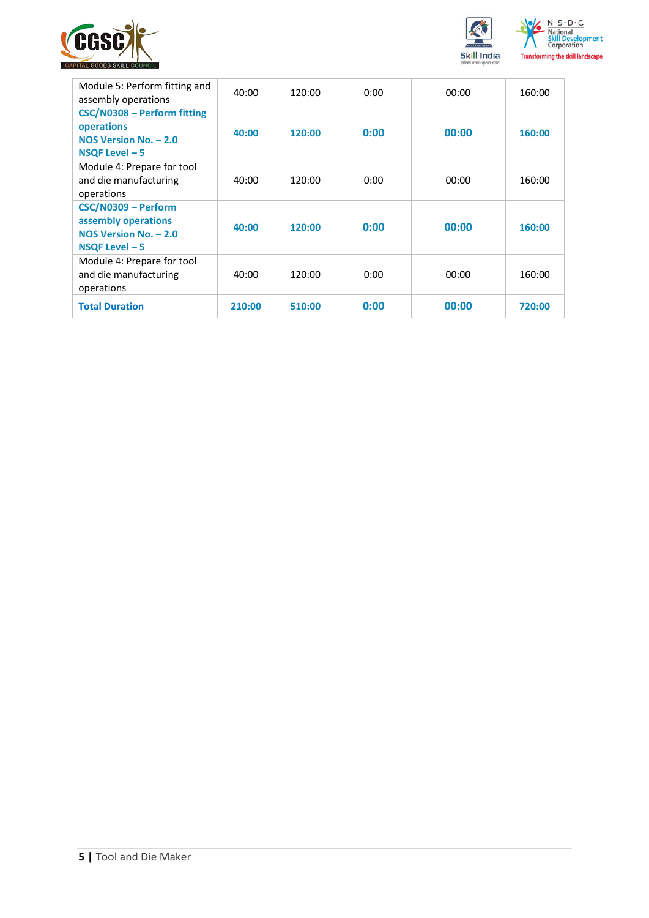



| Module 5: Perform fitting and<br>assembly operations                                     | 40:00  | 120:00 | 0:00 | 00:00 | 160:00 |
|------------------------------------------------------------------------------------------|--------|--------|------|-------|--------|
| CSC/N0308 - Perform fitting<br>operations<br>NOS Version No. - 2.0<br>NSQF Level - 5     | 40:00  | 120:00 | 0:00 | 00:00 | 160:00 |
| Module 4: Prepare for tool<br>and die manufacturing<br>operations                        | 40:00  | 120:00 | 0:00 | 00:00 | 160:00 |
| CSC/N0309 - Perform<br>assembly operations<br>NOS Version No. - 2.0<br>$NSQF$ Level $-5$ | 40:00  | 120:00 | 0:00 | 00:00 | 160:00 |
| Module 4: Prepare for tool<br>and die manufacturing<br>operations                        | 40:00  | 120:00 | 0:00 | 00:00 | 160:00 |
| <b>Total Duration</b>                                                                    | 210:00 | 510:00 | 0:00 | 00:00 | 720:00 |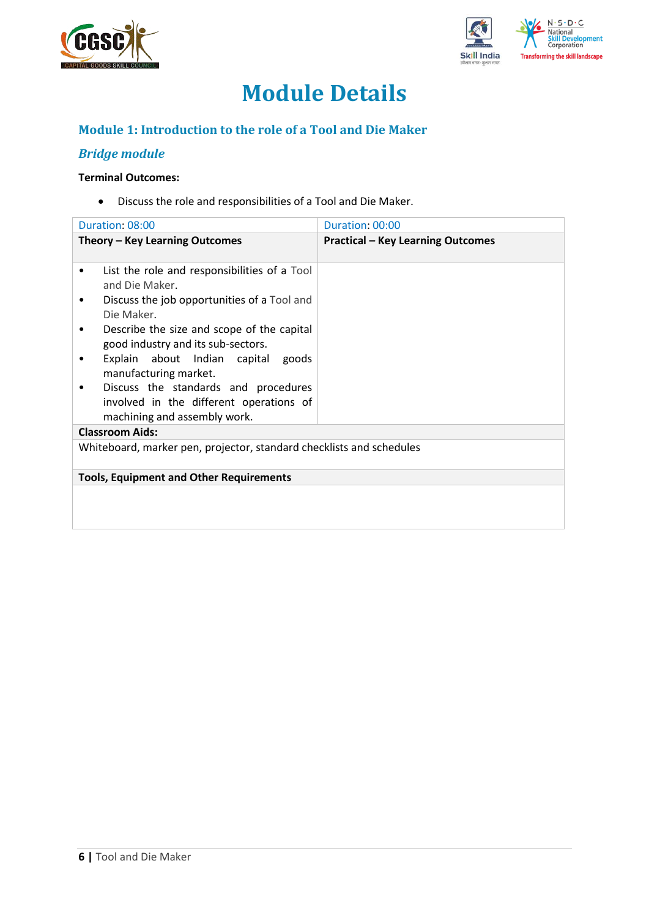



# **Module Details**

## **Module 1: Introduction to the role of a Tool and Die Maker**

## *Bridge module*

#### **Terminal Outcomes:**

• Discuss the role and responsibilities of a Tool and Die Maker.

| Duration: 08:00                                                                                                 | Duration: 00:00                          |
|-----------------------------------------------------------------------------------------------------------------|------------------------------------------|
| Theory - Key Learning Outcomes                                                                                  | <b>Practical - Key Learning Outcomes</b> |
| List the role and responsibilities of a Tool<br>٠<br>and Die Maker.                                             |                                          |
| Discuss the job opportunities of a Tool and<br>Die Maker.                                                       |                                          |
| Describe the size and scope of the capital<br>good industry and its sub-sectors.                                |                                          |
| Explain about Indian capital goods<br>manufacturing market.                                                     |                                          |
| Discuss the standards and procedures<br>involved in the different operations of<br>machining and assembly work. |                                          |
| <b>Classroom Aids:</b>                                                                                          |                                          |
| Whiteboard, marker pen, projector, standard checklists and schedules                                            |                                          |
| <b>Tools, Equipment and Other Requirements</b>                                                                  |                                          |
|                                                                                                                 |                                          |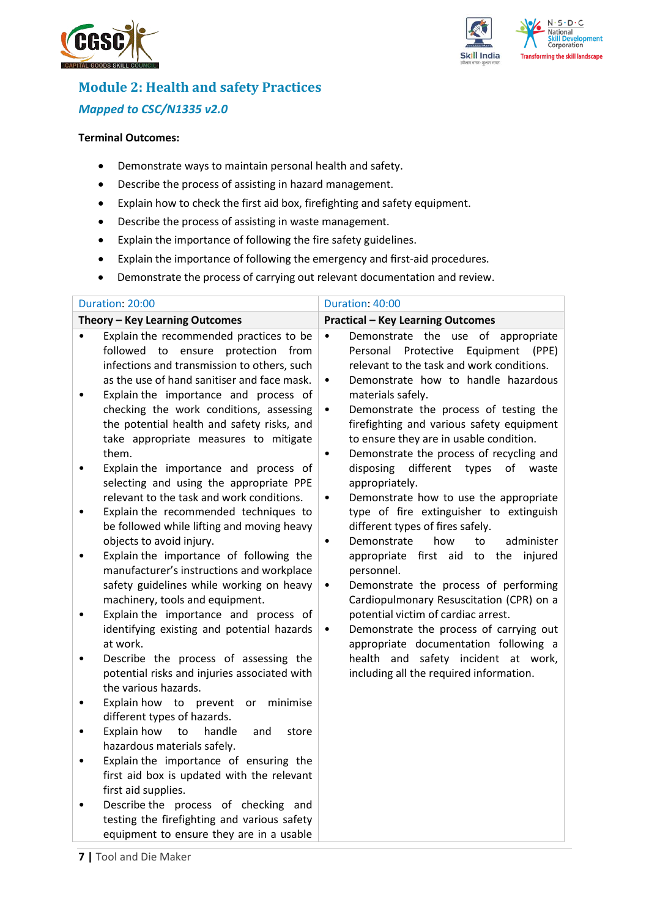



## **Module 2: Health and safety Practices** *Mapped to CSC/N1335 v2.0*

#### **Terminal Outcomes:**

- Demonstrate ways to maintain personal health and safety.
- Describe the process of assisting in hazard management.
- Explain how to check the first aid box, firefighting and safety equipment.
- Describe the process of assisting in waste management.
- Explain the importance of following the fire safety guidelines.
- Explain the importance of following the emergency and first-aid procedures.
- Demonstrate the process of carrying out relevant documentation and review.

|                | Duration: 20:00                                                                                                                                                                                                         | Duration: 40:00                                                                                                                                                                                                                                |
|----------------|-------------------------------------------------------------------------------------------------------------------------------------------------------------------------------------------------------------------------|------------------------------------------------------------------------------------------------------------------------------------------------------------------------------------------------------------------------------------------------|
|                | Theory - Key Learning Outcomes                                                                                                                                                                                          | <b>Practical - Key Learning Outcomes</b>                                                                                                                                                                                                       |
| ٠<br>$\bullet$ | Explain the recommended practices to be<br>followed to ensure protection<br>from<br>infections and transmission to others, such<br>as the use of hand sanitiser and face mask.<br>Explain the importance and process of | Demonstrate the use of appropriate<br>$\bullet$<br>Protective<br>Equipment<br>Personal<br>(PPE)<br>relevant to the task and work conditions.<br>Demonstrate how to handle hazardous<br>$\bullet$<br>materials safely.                          |
| $\bullet$      | checking the work conditions, assessing<br>the potential health and safety risks, and<br>take appropriate measures to mitigate<br>them.<br>Explain the importance and process of                                        | Demonstrate the process of testing the<br>٠<br>firefighting and various safety equipment<br>to ensure they are in usable condition.<br>Demonstrate the process of recycling and<br>$\bullet$<br>disposing<br>different<br>types<br>of<br>waste |
|                | selecting and using the appropriate PPE<br>relevant to the task and work conditions.                                                                                                                                    | appropriately.<br>Demonstrate how to use the appropriate<br>$\bullet$                                                                                                                                                                          |
| $\bullet$      | Explain the recommended techniques to<br>be followed while lifting and moving heavy<br>objects to avoid injury.                                                                                                         | type of fire extinguisher to extinguish<br>different types of fires safely.<br>administer<br>Demonstrate<br>how<br>to<br>$\bullet$                                                                                                             |
| $\bullet$      | Explain the importance of following the<br>manufacturer's instructions and workplace<br>safety guidelines while working on heavy<br>machinery, tools and equipment.                                                     | appropriate first aid to the injured<br>personnel.<br>Demonstrate the process of performing<br>$\bullet$<br>Cardiopulmonary Resuscitation (CPR) on a                                                                                           |
| ٠              | Explain the importance and process of<br>identifying existing and potential hazards<br>at work.                                                                                                                         | potential victim of cardiac arrest.<br>Demonstrate the process of carrying out<br>$\bullet$<br>appropriate documentation following a                                                                                                           |
| ٠              | Describe the process of assessing the<br>potential risks and injuries associated with<br>the various hazards.                                                                                                           | health and safety incident at work,<br>including all the required information.                                                                                                                                                                 |
| ٠              | Explain how to<br>prevent or<br>minimise<br>different types of hazards.                                                                                                                                                 |                                                                                                                                                                                                                                                |
| $\bullet$<br>٠ | Explain how<br>handle<br>to<br>and<br>store<br>hazardous materials safely.<br>Explain the importance of ensuring the                                                                                                    |                                                                                                                                                                                                                                                |
|                | first aid box is updated with the relevant<br>first aid supplies.                                                                                                                                                       |                                                                                                                                                                                                                                                |
|                | Describe the process of checking and<br>testing the firefighting and various safety<br>equipment to ensure they are in a usable                                                                                         |                                                                                                                                                                                                                                                |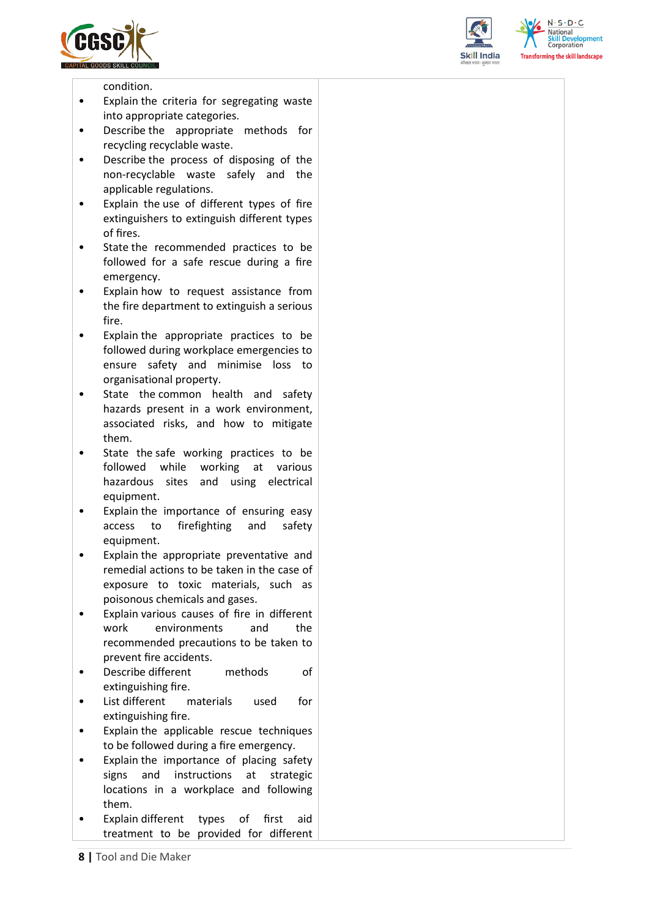





condition.

- Explain the criteria for segregating waste into appropriate categories.
- Describe the appropriate methods for recycling recyclable waste.
- Describe the process of disposing of the non-recyclable waste safely and the applicable regulations.
- Explain the use of different types of fire extinguishers to extinguish different types of fires.
- State the recommended practices to be followed for a safe rescue during a fire emergency.
- Explain how to request assistance from the fire department to extinguish a serious fire.
- Explain the appropriate practices to be followed during workplace emergencies to ensure safety and minimise loss to organisational property.
- State the common health and safety hazards present in a work environment, associated risks, and how to mitigate them.
- State the safe working practices to be followed while working at various hazardous sites and using electrical equipment.
- Explain the importance of ensuring easy access to firefighting and safety equipment.
- Explain the appropriate preventative and remedial actions to be taken in the case of exposure to toxic materials, such as poisonous chemicals and gases.
- Explain various causes of fire in different work environments and the recommended precautions to be taken to prevent fire accidents.
- Describe different methods of extinguishing fire.
- List different materials used for extinguishing fire.
- Explain the applicable rescue techniques to be followed during a fire emergency.
- Explain the importance of placing safety signs and instructions at strategic locations in a workplace and following them.
- Explain different types of first aid treatment to be provided for different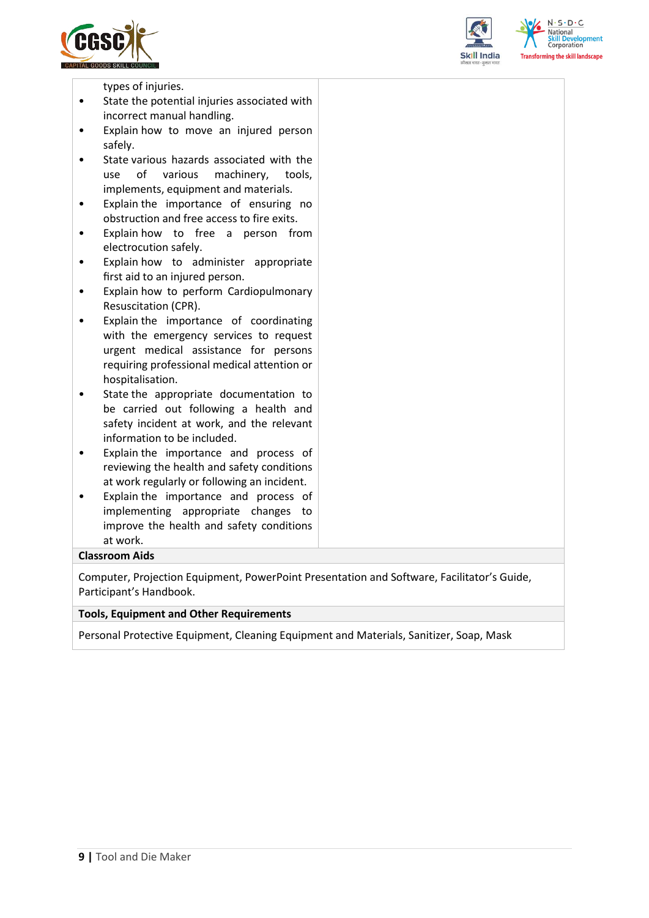



 $N \cdot S \cdot D \cdot C$ forming the skill landscape

types of injuries.

- State the potential injuries associated with incorrect manual handling.
- Explain how to move an injured person safely.
- State various hazards associated with the use of various machinery, tools, implements, equipment and materials.
- Explain the importance of ensuring no obstruction and free access to fire exits.
- Explain how to free a person from electrocution safely.
- Explain how to administer appropriate first aid to an injured person.
- Explain how to perform Cardiopulmonary Resuscitation (CPR).
- Explain the importance of coordinating with the emergency services to request urgent medical assistance for persons requiring professional medical attention or hospitalisation.
- State the appropriate documentation to be carried out following a health and safety incident at work, and the relevant information to be included.
- Explain the importance and process of reviewing the health and safety conditions at work regularly or following an incident.
- Explain the importance and process of implementing appropriate changes to improve the health and safety conditions at work.

#### **Classroom Aids**

Computer, Projection Equipment, PowerPoint Presentation and Software, Facilitator's Guide, Participant's Handbook.

#### **Tools, Equipment and Other Requirements**

Personal Protective Equipment, Cleaning Equipment and Materials, Sanitizer, Soap, Mask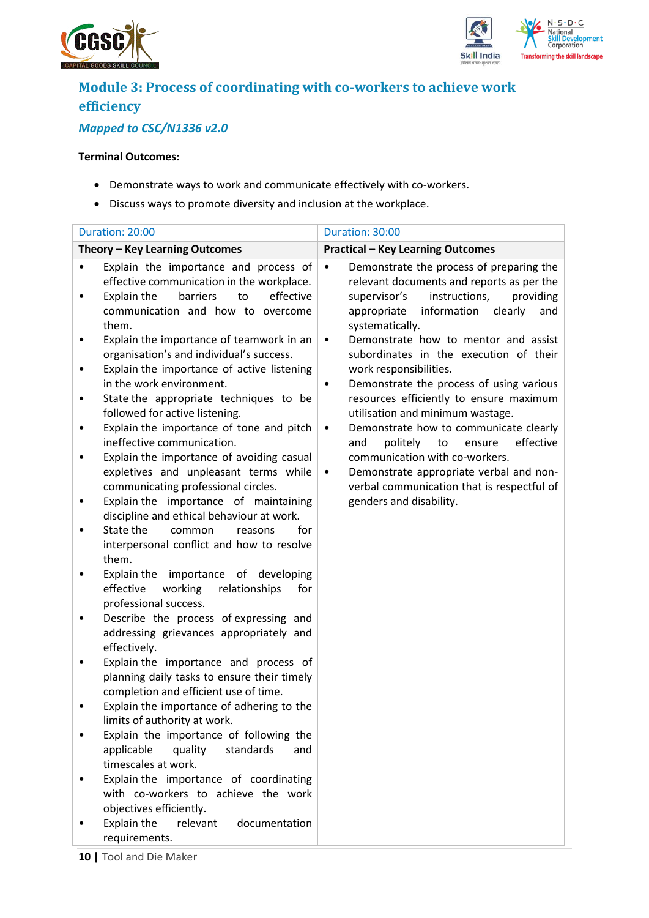



## **Module 3: Process of coordinating with co-workers to achieve work efficiency**

## *Mapped to CSC/N1336 v2.0*

#### **Terminal Outcomes:**

- Demonstrate ways to work and communicate effectively with co-workers.
- Discuss ways to promote diversity and inclusion at the workplace.

|                  | Duration: 20:00                                                                                                                                                                                                                                                                                                                                                                                                                                                                                                                                                                                                                     | Duration: 30:00                                                                                                                                                                                                                                                                                                                                                                                                                                                                                                                                                                                                                                                                                                     |
|------------------|-------------------------------------------------------------------------------------------------------------------------------------------------------------------------------------------------------------------------------------------------------------------------------------------------------------------------------------------------------------------------------------------------------------------------------------------------------------------------------------------------------------------------------------------------------------------------------------------------------------------------------------|---------------------------------------------------------------------------------------------------------------------------------------------------------------------------------------------------------------------------------------------------------------------------------------------------------------------------------------------------------------------------------------------------------------------------------------------------------------------------------------------------------------------------------------------------------------------------------------------------------------------------------------------------------------------------------------------------------------------|
|                  | Theory - Key Learning Outcomes                                                                                                                                                                                                                                                                                                                                                                                                                                                                                                                                                                                                      | <b>Practical - Key Learning Outcomes</b>                                                                                                                                                                                                                                                                                                                                                                                                                                                                                                                                                                                                                                                                            |
| ٠<br>٠<br>٠<br>٠ | Explain the importance and process of<br>effective communication in the workplace.<br>barriers<br>effective<br>Explain the<br>to<br>communication and how to overcome<br>them.<br>Explain the importance of teamwork in an<br>organisation's and individual's success.<br>Explain the importance of active listening<br>in the work environment.<br>State the appropriate techniques to be<br>followed for active listening.<br>Explain the importance of tone and pitch<br>ineffective communication.<br>Explain the importance of avoiding casual<br>expletives and unpleasant terms while<br>communicating professional circles. | Demonstrate the process of preparing the<br>$\bullet$<br>relevant documents and reports as per the<br>instructions,<br>supervisor's<br>providing<br>information<br>appropriate<br>clearly<br>and<br>systematically.<br>Demonstrate how to mentor and assist<br>$\bullet$<br>subordinates in the execution of their<br>work responsibilities.<br>Demonstrate the process of using various<br>٠<br>resources efficiently to ensure maximum<br>utilisation and minimum wastage.<br>Demonstrate how to communicate clearly<br>$\bullet$<br>effective<br>politely<br>to<br>and<br>ensure<br>communication with co-workers.<br>Demonstrate appropriate verbal and non-<br>٠<br>verbal communication that is respectful of |
|                  | Explain the importance of maintaining<br>discipline and ethical behaviour at work.<br>State the<br>common<br>reasons<br>for<br>interpersonal conflict and how to resolve<br>them.                                                                                                                                                                                                                                                                                                                                                                                                                                                   | genders and disability.                                                                                                                                                                                                                                                                                                                                                                                                                                                                                                                                                                                                                                                                                             |
|                  | Explain the importance of developing<br>effective<br>working<br>relationships<br>for<br>professional success.<br>Describe the process of expressing and<br>addressing grievances appropriately and<br>effectively.                                                                                                                                                                                                                                                                                                                                                                                                                  |                                                                                                                                                                                                                                                                                                                                                                                                                                                                                                                                                                                                                                                                                                                     |
| ٠                | Explain the importance and process of<br>planning daily tasks to ensure their timely<br>completion and efficient use of time.                                                                                                                                                                                                                                                                                                                                                                                                                                                                                                       |                                                                                                                                                                                                                                                                                                                                                                                                                                                                                                                                                                                                                                                                                                                     |
|                  | Explain the importance of adhering to the<br>limits of authority at work.                                                                                                                                                                                                                                                                                                                                                                                                                                                                                                                                                           |                                                                                                                                                                                                                                                                                                                                                                                                                                                                                                                                                                                                                                                                                                                     |
|                  | Explain the importance of following the<br>quality<br>applicable<br>standards<br>and<br>timescales at work.<br>Explain the importance of coordinating<br>with co-workers to achieve the work<br>objectives efficiently.                                                                                                                                                                                                                                                                                                                                                                                                             |                                                                                                                                                                                                                                                                                                                                                                                                                                                                                                                                                                                                                                                                                                                     |
|                  | Explain the<br>relevant<br>documentation<br>requirements.                                                                                                                                                                                                                                                                                                                                                                                                                                                                                                                                                                           |                                                                                                                                                                                                                                                                                                                                                                                                                                                                                                                                                                                                                                                                                                                     |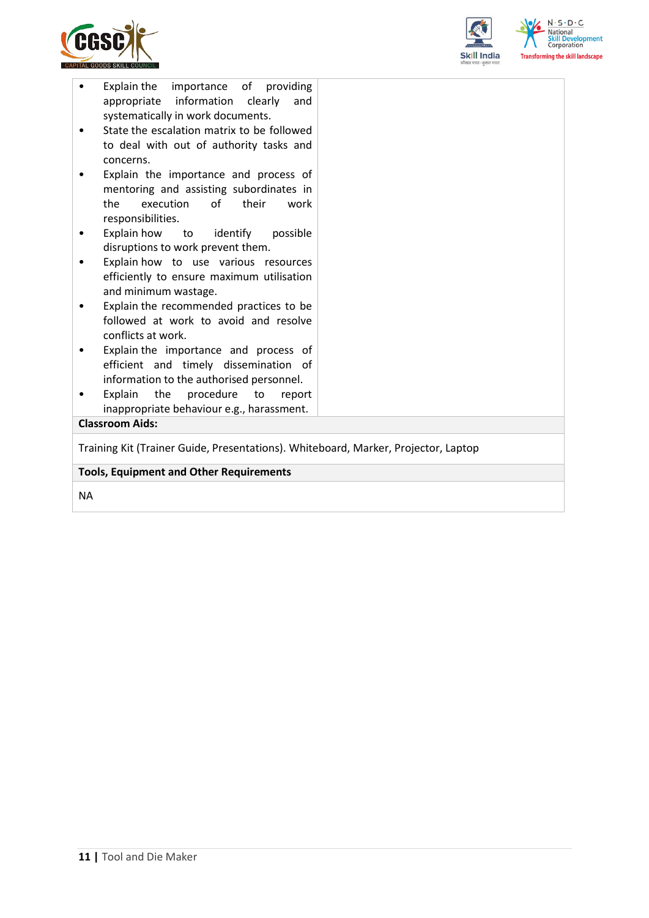



| Explain<br>the<br>procedure<br>to<br>report<br>inappropriate behaviour e.g., harassment.<br><b>Classroom Aids:</b>        |  |
|---------------------------------------------------------------------------------------------------------------------------|--|
|                                                                                                                           |  |
|                                                                                                                           |  |
| information to the authorised personnel.                                                                                  |  |
| efficient and timely dissemination of                                                                                     |  |
| conflicts at work.<br>Explain the importance and process of                                                               |  |
| followed at work to avoid and resolve                                                                                     |  |
| and minimum wastage.<br>Explain the recommended practices to be                                                           |  |
| efficiently to ensure maximum utilisation                                                                                 |  |
| disruptions to work prevent them.<br>Explain how to use various resources                                                 |  |
| Explain how<br>to identify<br>possible                                                                                    |  |
| responsibilities.                                                                                                         |  |
| mentoring and assisting subordinates in<br>the<br>execution<br>of their<br>work                                           |  |
| Explain the importance and process of                                                                                     |  |
| concerns.                                                                                                                 |  |
| to deal with out of authority tasks and                                                                                   |  |
|                                                                                                                           |  |
| appropriate information clearly<br>and                                                                                    |  |
| Explain the<br>importance of providing<br>systematically in work documents.<br>State the escalation matrix to be followed |  |

NA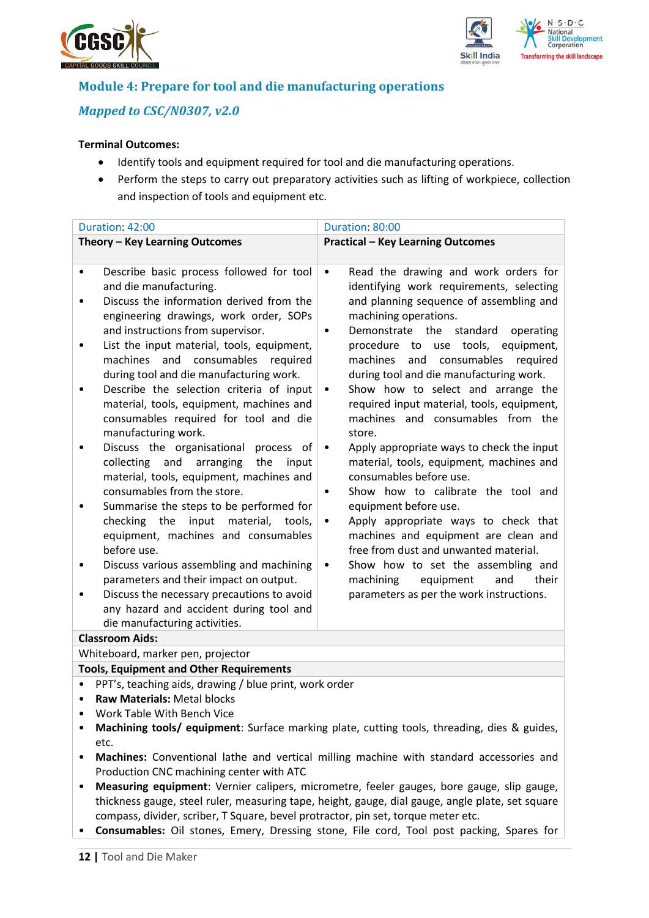



## **Module 4: Prepare for tool and die manufacturing operations**

## *Mapped to CSC/N0307, v2.0*

### **Terminal Outcomes:**

- Identify tools and equipment required for tool and die manufacturing operations.
- Perform the steps to carry out preparatory activities such as lifting of workpiece, collection and inspection of tools and equipment etc.

| Duration: 42:00                                                                                                                                                                                                                                                                                                                                                                                                                                                                                                                                                                                                                                                                                                                                                                                                                                                                                                                                                                                                                                           | Duration: 80:00                                                                                                                                                                                                                                                                                                                                                                                                                                                                                                                                                                                                                                                                                                                                                                                                                                                                                                                                                                            |  |  |
|-----------------------------------------------------------------------------------------------------------------------------------------------------------------------------------------------------------------------------------------------------------------------------------------------------------------------------------------------------------------------------------------------------------------------------------------------------------------------------------------------------------------------------------------------------------------------------------------------------------------------------------------------------------------------------------------------------------------------------------------------------------------------------------------------------------------------------------------------------------------------------------------------------------------------------------------------------------------------------------------------------------------------------------------------------------|--------------------------------------------------------------------------------------------------------------------------------------------------------------------------------------------------------------------------------------------------------------------------------------------------------------------------------------------------------------------------------------------------------------------------------------------------------------------------------------------------------------------------------------------------------------------------------------------------------------------------------------------------------------------------------------------------------------------------------------------------------------------------------------------------------------------------------------------------------------------------------------------------------------------------------------------------------------------------------------------|--|--|
| Theory - Key Learning Outcomes                                                                                                                                                                                                                                                                                                                                                                                                                                                                                                                                                                                                                                                                                                                                                                                                                                                                                                                                                                                                                            | <b>Practical - Key Learning Outcomes</b>                                                                                                                                                                                                                                                                                                                                                                                                                                                                                                                                                                                                                                                                                                                                                                                                                                                                                                                                                   |  |  |
| Describe basic process followed for tool<br>$\bullet$<br>and die manufacturing.<br>Discuss the information derived from the<br>٠<br>engineering drawings, work order, SOPs<br>and instructions from supervisor.<br>List the input material, tools, equipment,<br>٠<br>machines<br>and<br>consumables<br>required<br>during tool and die manufacturing work.<br>Describe the selection criteria of input<br>material, tools, equipment, machines and<br>consumables required for tool and die<br>manufacturing work.<br>Discuss the organisational<br>process of<br>collecting<br>and<br>arranging<br>the<br>input<br>material, tools, equipment, machines and<br>consumables from the store.<br>Summarise the steps to be performed for<br>checking the input material, tools,<br>equipment, machines and consumables<br>before use.<br>Discuss various assembling and machining<br>٠<br>parameters and their impact on output.<br>Discuss the necessary precautions to avoid<br>any hazard and accident during tool and<br>die manufacturing activities. | Read the drawing and work orders for<br>$\bullet$<br>identifying work requirements, selecting<br>and planning sequence of assembling and<br>machining operations.<br>Demonstrate the standard<br>operating<br>$\bullet$<br>procedure to use tools, equipment,<br>machines<br>and<br>consumables<br>required<br>during tool and die manufacturing work.<br>Show how to select and arrange the<br>$\bullet$<br>required input material, tools, equipment,<br>machines and consumables from the<br>store.<br>Apply appropriate ways to check the input<br>$\bullet$<br>material, tools, equipment, machines and<br>consumables before use.<br>Show how to calibrate the tool and<br>٠<br>equipment before use.<br>Apply appropriate ways to check that<br>$\bullet$<br>machines and equipment are clean and<br>free from dust and unwanted material.<br>Show how to set the assembling and<br>$\bullet$<br>machining<br>equipment<br>and<br>their<br>parameters as per the work instructions. |  |  |
| <b>Classroom Aids:</b>                                                                                                                                                                                                                                                                                                                                                                                                                                                                                                                                                                                                                                                                                                                                                                                                                                                                                                                                                                                                                                    |                                                                                                                                                                                                                                                                                                                                                                                                                                                                                                                                                                                                                                                                                                                                                                                                                                                                                                                                                                                            |  |  |
| Whiteboard, marker pen, projector                                                                                                                                                                                                                                                                                                                                                                                                                                                                                                                                                                                                                                                                                                                                                                                                                                                                                                                                                                                                                         |                                                                                                                                                                                                                                                                                                                                                                                                                                                                                                                                                                                                                                                                                                                                                                                                                                                                                                                                                                                            |  |  |
| <b>Tools, Equipment and Other Requirements</b>                                                                                                                                                                                                                                                                                                                                                                                                                                                                                                                                                                                                                                                                                                                                                                                                                                                                                                                                                                                                            |                                                                                                                                                                                                                                                                                                                                                                                                                                                                                                                                                                                                                                                                                                                                                                                                                                                                                                                                                                                            |  |  |
| PPT's, teaching aids, drawing / blue print, work order                                                                                                                                                                                                                                                                                                                                                                                                                                                                                                                                                                                                                                                                                                                                                                                                                                                                                                                                                                                                    |                                                                                                                                                                                                                                                                                                                                                                                                                                                                                                                                                                                                                                                                                                                                                                                                                                                                                                                                                                                            |  |  |
| <b>Raw Materials: Metal blocks</b>                                                                                                                                                                                                                                                                                                                                                                                                                                                                                                                                                                                                                                                                                                                                                                                                                                                                                                                                                                                                                        |                                                                                                                                                                                                                                                                                                                                                                                                                                                                                                                                                                                                                                                                                                                                                                                                                                                                                                                                                                                            |  |  |
| Work Table With Bench Vice<br>٠                                                                                                                                                                                                                                                                                                                                                                                                                                                                                                                                                                                                                                                                                                                                                                                                                                                                                                                                                                                                                           |                                                                                                                                                                                                                                                                                                                                                                                                                                                                                                                                                                                                                                                                                                                                                                                                                                                                                                                                                                                            |  |  |
|                                                                                                                                                                                                                                                                                                                                                                                                                                                                                                                                                                                                                                                                                                                                                                                                                                                                                                                                                                                                                                                           | Machining tools/ equipment: Surface marking plate, cutting tools, threading, dies & guides,                                                                                                                                                                                                                                                                                                                                                                                                                                                                                                                                                                                                                                                                                                                                                                                                                                                                                                |  |  |
| etc.                                                                                                                                                                                                                                                                                                                                                                                                                                                                                                                                                                                                                                                                                                                                                                                                                                                                                                                                                                                                                                                      |                                                                                                                                                                                                                                                                                                                                                                                                                                                                                                                                                                                                                                                                                                                                                                                                                                                                                                                                                                                            |  |  |
| Machines: Conventional lathe and vertical milling machine with standard accessories and<br>٠                                                                                                                                                                                                                                                                                                                                                                                                                                                                                                                                                                                                                                                                                                                                                                                                                                                                                                                                                              |                                                                                                                                                                                                                                                                                                                                                                                                                                                                                                                                                                                                                                                                                                                                                                                                                                                                                                                                                                                            |  |  |
| Production CNC machining center with ATC                                                                                                                                                                                                                                                                                                                                                                                                                                                                                                                                                                                                                                                                                                                                                                                                                                                                                                                                                                                                                  |                                                                                                                                                                                                                                                                                                                                                                                                                                                                                                                                                                                                                                                                                                                                                                                                                                                                                                                                                                                            |  |  |
| Measuring equipment: Vernier calipers, micrometre, feeler gauges, bore gauge, slip gauge,<br>٠<br>thickness gauge, steel ruler, measuring tape, height, gauge, dial gauge, angle plate, set square                                                                                                                                                                                                                                                                                                                                                                                                                                                                                                                                                                                                                                                                                                                                                                                                                                                        |                                                                                                                                                                                                                                                                                                                                                                                                                                                                                                                                                                                                                                                                                                                                                                                                                                                                                                                                                                                            |  |  |

easuring tape, neight, gauge, dial gauge, compass, divider, scriber, T Square, bevel protractor, pin set, torque meter etc.

• **Consumables:** Oil stones, Emery, Dressing stone, File cord, Tool post packing, Spares for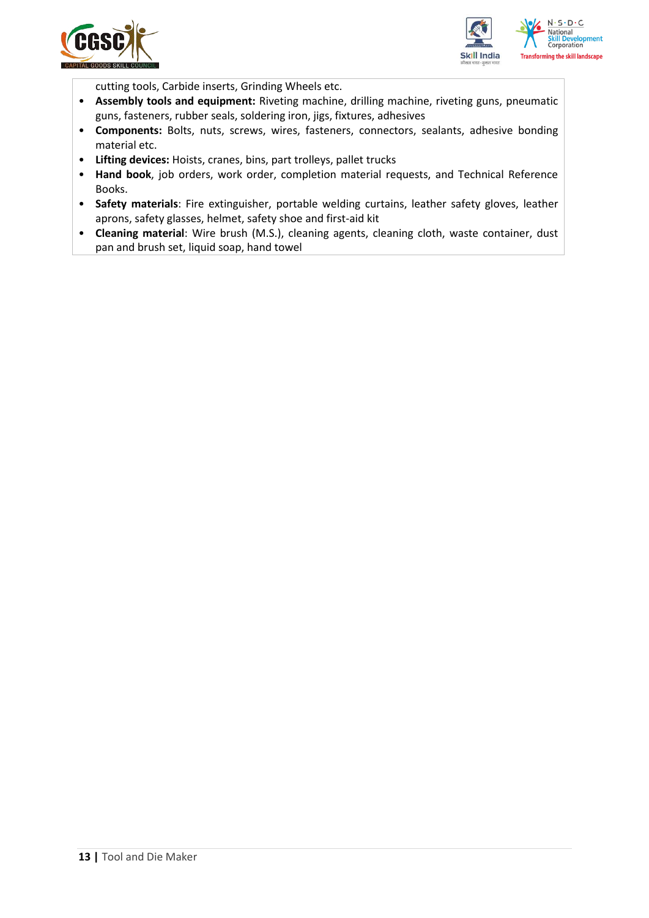



cutting tools, Carbide inserts, Grinding Wheels etc.

- **Assembly tools and equipment:** Riveting machine, drilling machine, riveting guns, pneumatic guns, fasteners, rubber seals, soldering iron, jigs, fixtures, adhesives
- **Components:** Bolts, nuts, screws, wires, fasteners, connectors, sealants, adhesive bonding material etc.
- **Lifting devices:** Hoists, cranes, bins, part trolleys, pallet trucks
- **Hand book**, job orders, work order, completion material requests, and Technical Reference Books.
- **Safety materials**: Fire extinguisher, portable welding curtains, leather safety gloves, leather aprons, safety glasses, helmet, safety shoe and first-aid kit
- **Cleaning material**: Wire brush (M.S.), cleaning agents, cleaning cloth, waste container, dust pan and brush set, liquid soap, hand towel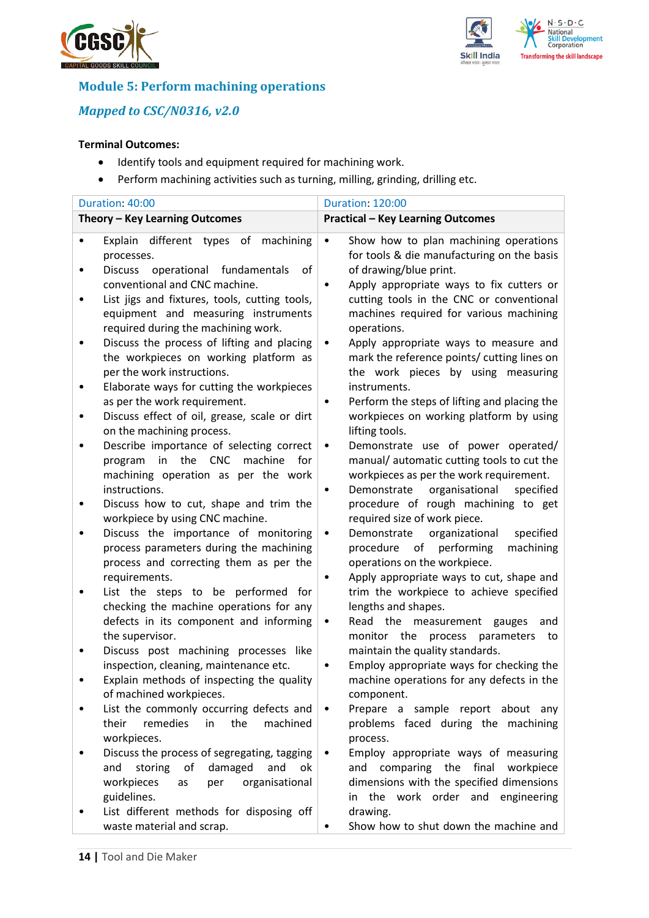



## **Module 5: Perform machining operations**

## *Mapped to CSC/N0316, v2.0*

#### **Terminal Outcomes:**

- Identify tools and equipment required for machining work.
- Perform machining activities such as turning, milling, grinding, drilling etc.

|   | Duration: 40:00                                                                                                             | <b>Duration: 120:00</b>                                                                          |                        |
|---|-----------------------------------------------------------------------------------------------------------------------------|--------------------------------------------------------------------------------------------------|------------------------|
|   | Theory - Key Learning Outcomes                                                                                              | <b>Practical - Key Learning Outcomes</b>                                                         |                        |
|   | Explain different types of<br>machining<br>processes.                                                                       | Show how to plan machining operations<br>$\bullet$<br>for tools & die manufacturing on the basis |                        |
|   | Discuss operational fundamentals<br>of                                                                                      | of drawing/blue print.                                                                           |                        |
|   | conventional and CNC machine.                                                                                               | Apply appropriate ways to fix cutters or                                                         |                        |
|   | List jigs and fixtures, tools, cutting tools,<br>equipment and measuring instruments<br>required during the machining work. | cutting tools in the CNC or conventional<br>machines required for various machining              |                        |
|   | Discuss the process of lifting and placing                                                                                  | operations.<br>Apply appropriate ways to measure and<br>٠                                        |                        |
|   | the workpieces on working platform as                                                                                       | mark the reference points/ cutting lines on                                                      |                        |
|   | per the work instructions.                                                                                                  | the work pieces by using measuring                                                               |                        |
|   | Elaborate ways for cutting the workpieces                                                                                   | instruments.                                                                                     |                        |
|   | as per the work requirement.                                                                                                | Perform the steps of lifting and placing the                                                     |                        |
|   | Discuss effect of oil, grease, scale or dirt<br>on the machining process.                                                   | workpieces on working platform by using<br>lifting tools.                                        |                        |
|   | Describe importance of selecting correct                                                                                    | Demonstrate use of power operated/<br>$\bullet$                                                  |                        |
|   | in the CNC<br>machine<br>for<br>program                                                                                     | manual/automatic cutting tools to cut the                                                        |                        |
|   | machining operation as per the work                                                                                         | workpieces as per the work requirement.                                                          |                        |
|   | instructions.                                                                                                               | organisational<br>Demonstrate<br>٠                                                               | specified              |
| ٠ | Discuss how to cut, shape and trim the                                                                                      | procedure of rough machining to get                                                              |                        |
|   | workpiece by using CNC machine.                                                                                             | required size of work piece.                                                                     |                        |
|   | Discuss the importance of monitoring<br>process parameters during the machining                                             | Demonstrate<br>organizational<br>٠<br>procedure<br>of<br>performing                              | specified<br>machining |
|   | process and correcting them as per the                                                                                      | operations on the workpiece.                                                                     |                        |
|   | requirements.                                                                                                               | Apply appropriate ways to cut, shape and                                                         |                        |
|   | List the steps to be performed for                                                                                          | trim the workpiece to achieve specified                                                          |                        |
|   | checking the machine operations for any                                                                                     | lengths and shapes.                                                                              |                        |
|   | defects in its component and informing                                                                                      | Read the measurement gauges<br>٠                                                                 | and                    |
|   | the supervisor.                                                                                                             | monitor the process<br>parameters                                                                | to                     |
|   | Discuss post machining processes like                                                                                       | maintain the quality standards.                                                                  |                        |
|   | inspection, cleaning, maintenance etc.                                                                                      | Employ appropriate ways for checking the                                                         |                        |
|   | Explain methods of inspecting the quality<br>of machined workpieces.                                                        | machine operations for any defects in the<br>component.                                          |                        |
|   | List the commonly occurring defects and                                                                                     | Prepare a sample report about any                                                                |                        |
|   | remedies<br>machined<br>their<br>in<br>the                                                                                  | problems faced during the machining                                                              |                        |
|   | workpieces.                                                                                                                 | process.                                                                                         |                        |
|   | Discuss the process of segregating, tagging                                                                                 | Employ appropriate ways of measuring<br>٠                                                        |                        |
|   | storing<br>of<br>damaged<br>and<br>and<br>ok                                                                                | comparing the final workpiece<br>and                                                             |                        |
|   | workpieces<br>organisational<br>per<br>as                                                                                   | dimensions with the specified dimensions                                                         |                        |
|   | guidelines.                                                                                                                 | the work order and engineering<br>in                                                             |                        |
|   | List different methods for disposing off                                                                                    | drawing.                                                                                         |                        |
|   | waste material and scrap.                                                                                                   | Show how to shut down the machine and                                                            |                        |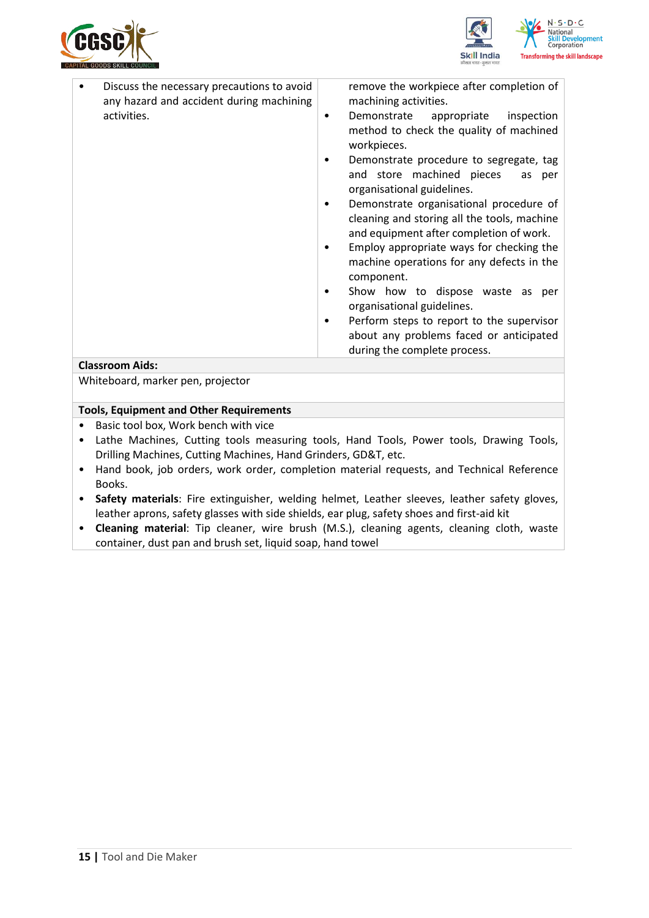



| Discuss the necessary precautions to avoid<br>any hazard and accident during machining<br>activities. | ٠<br>٠<br>٠<br>٠<br>٠<br>٠ | remove the workpiece after completion of<br>machining activities.<br>inspection<br>Demonstrate appropriate<br>method to check the quality of machined<br>workpieces.<br>Demonstrate procedure to segregate, tag<br>and store machined pieces<br>as per<br>organisational guidelines.<br>Demonstrate organisational procedure of<br>cleaning and storing all the tools, machine<br>and equipment after completion of work.<br>Employ appropriate ways for checking the<br>machine operations for any defects in the<br>component.<br>Show how to dispose waste as per<br>organisational guidelines.<br>Perform steps to report to the supervisor<br>about any problems faced or anticipated<br>during the complete process. |
|-------------------------------------------------------------------------------------------------------|----------------------------|----------------------------------------------------------------------------------------------------------------------------------------------------------------------------------------------------------------------------------------------------------------------------------------------------------------------------------------------------------------------------------------------------------------------------------------------------------------------------------------------------------------------------------------------------------------------------------------------------------------------------------------------------------------------------------------------------------------------------|
| <b>Classroom Aids:</b>                                                                                |                            |                                                                                                                                                                                                                                                                                                                                                                                                                                                                                                                                                                                                                                                                                                                            |

Whiteboard, marker pen, projector

#### **Tools, Equipment and Other Requirements**

- Basic tool box, Work bench with vice
- Lathe Machines, Cutting tools measuring tools, Hand Tools, Power tools, Drawing Tools, Drilling Machines, Cutting Machines, Hand Grinders, GD&T, etc.
- Hand book, job orders, work order, completion material requests, and Technical Reference Books.
- **Safety materials**: Fire extinguisher, welding helmet, Leather sleeves, leather safety gloves, leather aprons, safety glasses with side shields, ear plug, safety shoes and first-aid kit
- **Cleaning material**: Tip cleaner, wire brush (M.S.), cleaning agents, cleaning cloth, waste container, dust pan and brush set, liquid soap, hand towel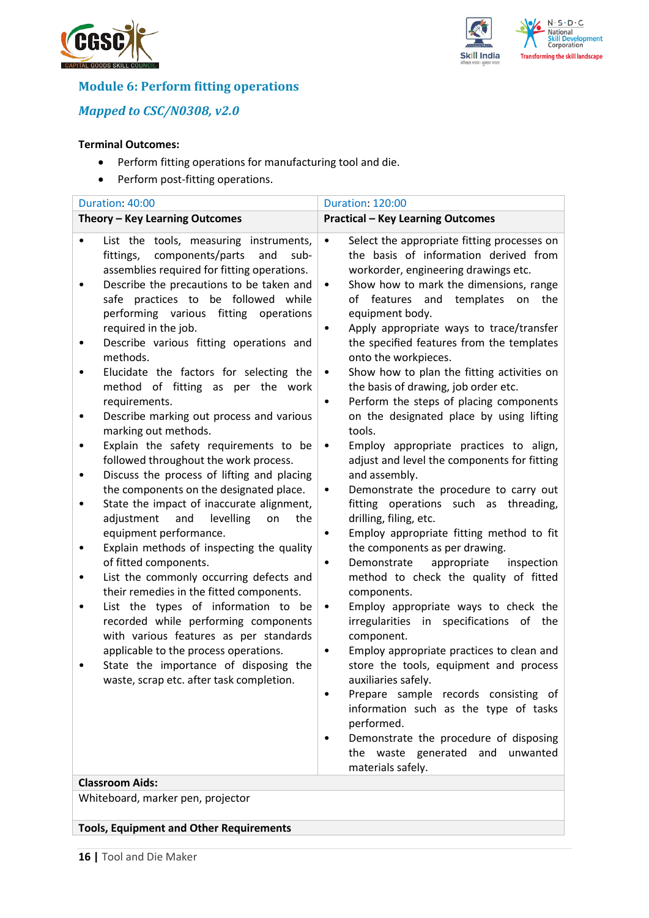



## **Module 6: Perform fitting operations**

*Mapped to CSC/N0308, v2.0*

#### **Terminal Outcomes:**

- Perform fitting operations for manufacturing tool and die.
- Perform post-fitting operations.

| Duration: 40:00                                                                                                                                                                                                                                                                                                                                                                                                                                                                                                                                                                                                                                                                                                                                                                                                                                                                                                                                                                                                                                                                                                                                                                                                                                                           | <b>Duration: 120:00</b>                                                                                                                                                                                                                                                                                                                                                                                                                                                                                                                                                                                                                                                                                                                                                                                                                                                                                                                                                                                                                                                                                                                                                                                                                                                                                                                                                                                                                  |
|---------------------------------------------------------------------------------------------------------------------------------------------------------------------------------------------------------------------------------------------------------------------------------------------------------------------------------------------------------------------------------------------------------------------------------------------------------------------------------------------------------------------------------------------------------------------------------------------------------------------------------------------------------------------------------------------------------------------------------------------------------------------------------------------------------------------------------------------------------------------------------------------------------------------------------------------------------------------------------------------------------------------------------------------------------------------------------------------------------------------------------------------------------------------------------------------------------------------------------------------------------------------------|------------------------------------------------------------------------------------------------------------------------------------------------------------------------------------------------------------------------------------------------------------------------------------------------------------------------------------------------------------------------------------------------------------------------------------------------------------------------------------------------------------------------------------------------------------------------------------------------------------------------------------------------------------------------------------------------------------------------------------------------------------------------------------------------------------------------------------------------------------------------------------------------------------------------------------------------------------------------------------------------------------------------------------------------------------------------------------------------------------------------------------------------------------------------------------------------------------------------------------------------------------------------------------------------------------------------------------------------------------------------------------------------------------------------------------------|
| Theory - Key Learning Outcomes                                                                                                                                                                                                                                                                                                                                                                                                                                                                                                                                                                                                                                                                                                                                                                                                                                                                                                                                                                                                                                                                                                                                                                                                                                            | <b>Practical - Key Learning Outcomes</b>                                                                                                                                                                                                                                                                                                                                                                                                                                                                                                                                                                                                                                                                                                                                                                                                                                                                                                                                                                                                                                                                                                                                                                                                                                                                                                                                                                                                 |
| List the tools, measuring instruments,<br>components/parts<br>and<br>fittings,<br>sub-<br>assemblies required for fitting operations.<br>Describe the precautions to be taken and<br>٠<br>safe practices to be followed while<br>performing various<br>fitting<br>operations<br>required in the job.<br>Describe various fitting operations and<br>methods.<br>Elucidate the factors for selecting the<br>٠<br>method of fitting as per the work<br>requirements.<br>Describe marking out process and various<br>marking out methods.<br>Explain the safety requirements to be<br>followed throughout the work process.<br>Discuss the process of lifting and placing<br>٠<br>the components on the designated place.<br>State the impact of inaccurate alignment,<br>٠<br>adjustment<br>and<br>levelling<br>on<br>the<br>equipment performance.<br>Explain methods of inspecting the quality<br>of fitted components.<br>List the commonly occurring defects and<br>٠<br>their remedies in the fitted components.<br>List the types of information to be<br>recorded while performing components<br>with various features as per standards<br>applicable to the process operations.<br>State the importance of disposing the<br>waste, scrap etc. after task completion. | Select the appropriate fitting processes on<br>the basis of information derived from<br>workorder, engineering drawings etc.<br>Show how to mark the dimensions, range<br>$\bullet$<br>of features and<br>templates<br>the<br>on<br>equipment body.<br>Apply appropriate ways to trace/transfer<br>the specified features from the templates<br>onto the workpieces.<br>Show how to plan the fitting activities on<br>$\bullet$<br>the basis of drawing, job order etc.<br>Perform the steps of placing components<br>٠<br>on the designated place by using lifting<br>tools.<br>Employ appropriate practices to align,<br>$\bullet$<br>adjust and level the components for fitting<br>and assembly.<br>Demonstrate the procedure to carry out<br>٠<br>fitting operations such as threading,<br>drilling, filing, etc.<br>Employ appropriate fitting method to fit<br>٠<br>the components as per drawing.<br>Demonstrate<br>appropriate<br>inspection<br>٠<br>method to check the quality of fitted<br>components.<br>Employ appropriate ways to check the<br>٠<br>irregularities in specifications of the<br>component.<br>Employ appropriate practices to clean and<br>store the tools, equipment and process<br>auxiliaries safely.<br>Prepare sample records consisting of<br>information such as the type of tasks<br>performed.<br>Demonstrate the procedure of disposing<br>the waste generated and unwanted<br>materials safely. |
| <b>Classroom Aids:</b>                                                                                                                                                                                                                                                                                                                                                                                                                                                                                                                                                                                                                                                                                                                                                                                                                                                                                                                                                                                                                                                                                                                                                                                                                                                    |                                                                                                                                                                                                                                                                                                                                                                                                                                                                                                                                                                                                                                                                                                                                                                                                                                                                                                                                                                                                                                                                                                                                                                                                                                                                                                                                                                                                                                          |
| Whiteboard, marker pen, projector                                                                                                                                                                                                                                                                                                                                                                                                                                                                                                                                                                                                                                                                                                                                                                                                                                                                                                                                                                                                                                                                                                                                                                                                                                         |                                                                                                                                                                                                                                                                                                                                                                                                                                                                                                                                                                                                                                                                                                                                                                                                                                                                                                                                                                                                                                                                                                                                                                                                                                                                                                                                                                                                                                          |

**Tools, Equipment and Other Requirements**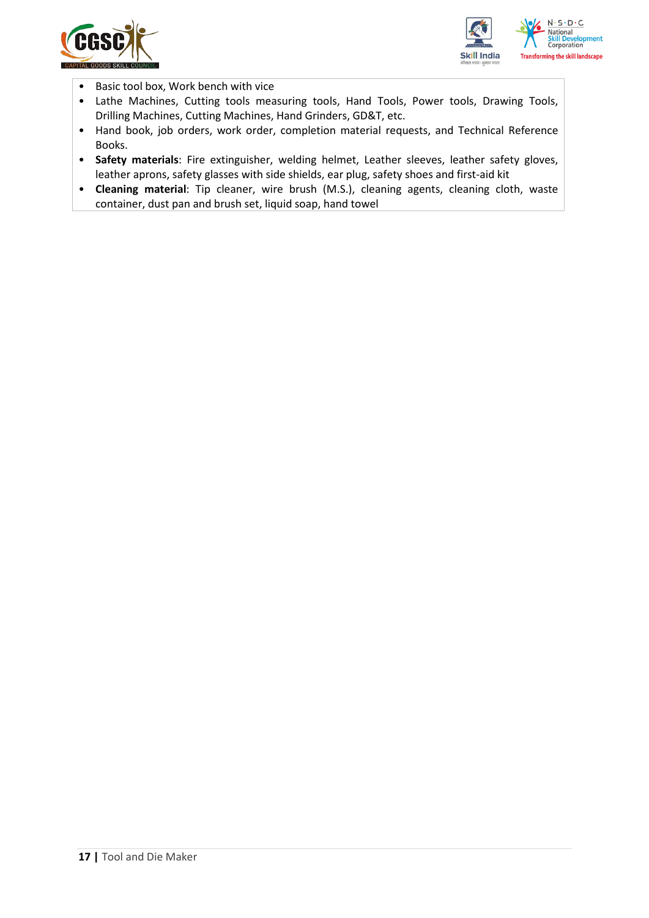



- Basic tool box, Work bench with vice
- Lathe Machines, Cutting tools measuring tools, Hand Tools, Power tools, Drawing Tools, Drilling Machines, Cutting Machines, Hand Grinders, GD&T, etc.
- Hand book, job orders, work order, completion material requests, and Technical Reference Books.
- **Safety materials**: Fire extinguisher, welding helmet, Leather sleeves, leather safety gloves, leather aprons, safety glasses with side shields, ear plug, safety shoes and first-aid kit
- **Cleaning material**: Tip cleaner, wire brush (M.S.), cleaning agents, cleaning cloth, waste container, dust pan and brush set, liquid soap, hand towel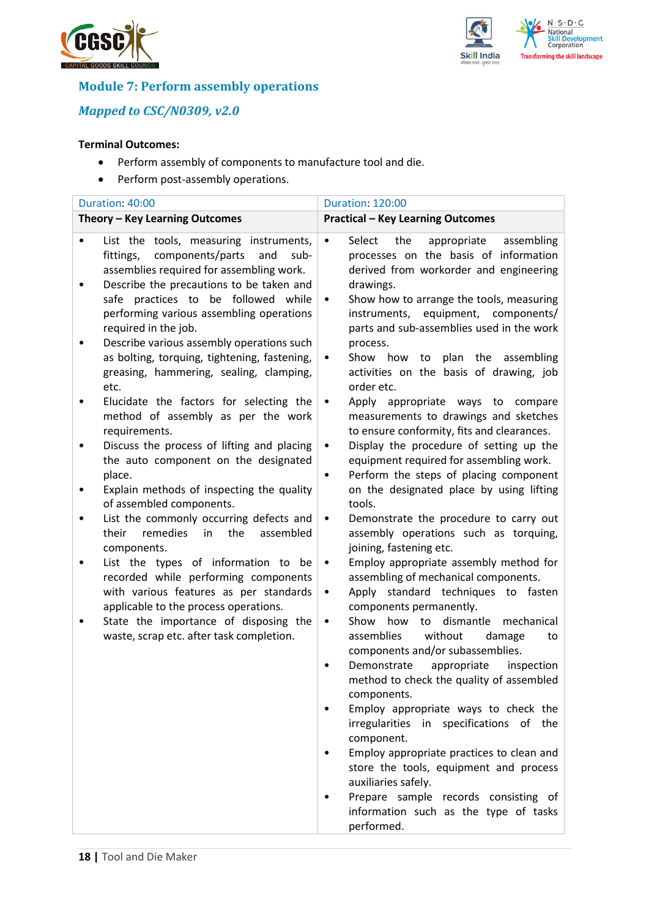



## **Module 7: Perform assembly operations**

## *Mapped to CSC/N0309, v2.0*

#### **Terminal Outcomes:**

- Perform assembly of components to manufacture tool and die.
- Perform post-assembly operations.

| Duration: 40:00                |                                                                                                                                                                                                                       | <b>Duration: 120:00</b>                                                                                                                                                                                          |  |  |
|--------------------------------|-----------------------------------------------------------------------------------------------------------------------------------------------------------------------------------------------------------------------|------------------------------------------------------------------------------------------------------------------------------------------------------------------------------------------------------------------|--|--|
| Theory - Key Learning Outcomes |                                                                                                                                                                                                                       | <b>Practical - Key Learning Outcomes</b>                                                                                                                                                                         |  |  |
|                                | List the tools, measuring instruments,<br>components/parts<br>fittings,<br>and<br>sub-<br>assemblies required for assembling work.<br>Describe the precautions to be taken and<br>safe practices to be followed while | Select<br>the<br>appropriate<br>assembling<br>$\bullet$<br>processes on the basis of information<br>derived from workorder and engineering<br>drawings.<br>Show how to arrange the tools, measuring<br>$\bullet$ |  |  |
|                                | performing various assembling operations<br>required in the job.<br>Describe various assembly operations such<br>as bolting, torquing, tightening, fastening,<br>greasing, hammering, sealing, clamping,<br>etc.      | instruments,<br>equipment,<br>components/<br>parts and sub-assemblies used in the work<br>process.<br>plan the assembling<br>Show how<br>to<br>٠<br>activities on the basis of drawing, job<br>order etc.        |  |  |
|                                | Elucidate the factors for selecting the<br>method of assembly as per the work<br>requirements.                                                                                                                        | Apply appropriate ways to compare<br>$\bullet$<br>measurements to drawings and sketches<br>to ensure conformity, fits and clearances.                                                                            |  |  |
|                                | Discuss the process of lifting and placing<br>the auto component on the designated<br>place.                                                                                                                          | Display the procedure of setting up the<br>$\bullet$<br>equipment required for assembling work.<br>Perform the steps of placing component<br>$\bullet$                                                           |  |  |
| ٠<br>٠                         | Explain methods of inspecting the quality<br>of assembled components.<br>List the commonly occurring defects and                                                                                                      | on the designated place by using lifting<br>tools.<br>Demonstrate the procedure to carry out<br>$\bullet$                                                                                                        |  |  |
|                                | remedies<br>the<br>assembled<br>their<br>in<br>components.                                                                                                                                                            | assembly operations such as torquing,<br>joining, fastening etc.                                                                                                                                                 |  |  |
|                                | List the types of information to be<br>recorded while performing components<br>with various features as per standards<br>applicable to the process operations.                                                        | Employ appropriate assembly method for<br>$\bullet$<br>assembling of mechanical components.<br>Apply standard techniques to fasten<br>$\bullet$<br>components permanently.                                       |  |  |
|                                | State the importance of disposing the<br>waste, scrap etc. after task completion.                                                                                                                                     | Show<br>how<br>to<br>dismantle<br>mechanical<br>$\bullet$<br>without<br>assemblies<br>damage<br>to<br>components and/or subassemblies.                                                                           |  |  |
|                                |                                                                                                                                                                                                                       | Demonstrate<br>appropriate<br>inspection<br>method to check the quality of assembled<br>components.                                                                                                              |  |  |
|                                |                                                                                                                                                                                                                       | Employ appropriate ways to check the<br>irregularities in specifications of the<br>component.                                                                                                                    |  |  |
|                                |                                                                                                                                                                                                                       | Employ appropriate practices to clean and<br>store the tools, equipment and process<br>auxiliaries safely.                                                                                                       |  |  |
|                                |                                                                                                                                                                                                                       | Prepare sample records consisting of<br>information such as the type of tasks<br>performed.                                                                                                                      |  |  |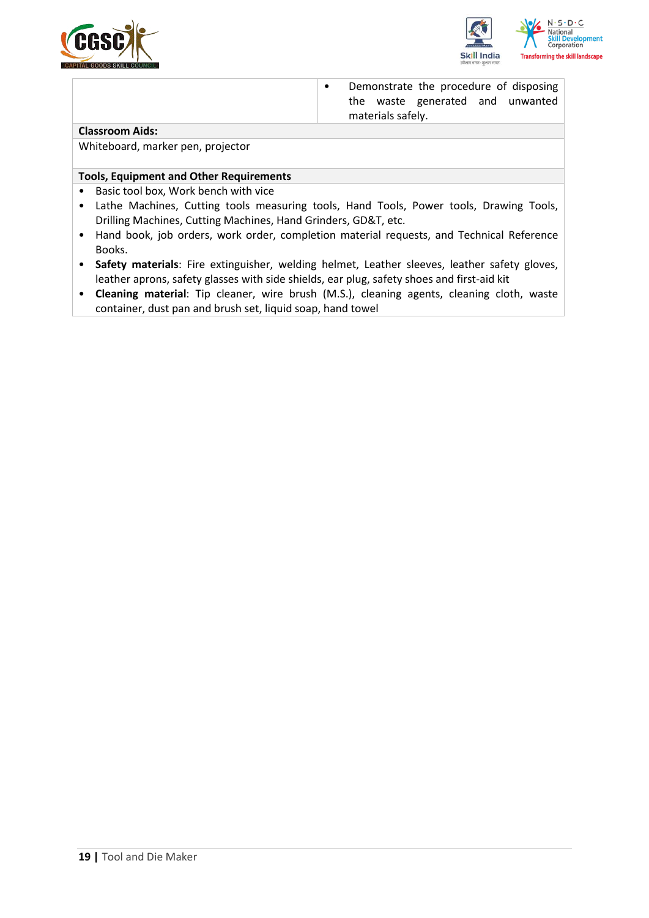



• Demonstrate the procedure of disposing the waste generated and unwanted materials safely.

#### **Classroom Aids:**

Whiteboard, marker pen, projector

#### **Tools, Equipment and Other Requirements**

- Basic tool box, Work bench with vice
- Lathe Machines, Cutting tools measuring tools, Hand Tools, Power tools, Drawing Tools, Drilling Machines, Cutting Machines, Hand Grinders, GD&T, etc.
- Hand book, job orders, work order, completion material requests, and Technical Reference Books.
- **Safety materials**: Fire extinguisher, welding helmet, Leather sleeves, leather safety gloves, leather aprons, safety glasses with side shields, ear plug, safety shoes and first-aid kit
- **Cleaning material**: Tip cleaner, wire brush (M.S.), cleaning agents, cleaning cloth, waste container, dust pan and brush set, liquid soap, hand towel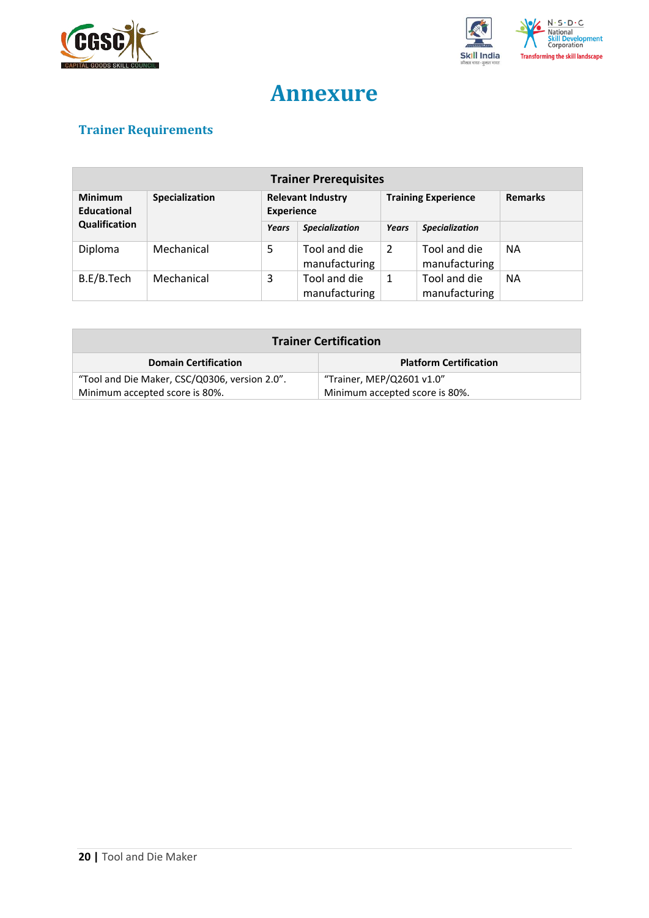



# **Annexure**

## <span id="page-19-0"></span>**Trainer Requirements**

| <b>Trainer Prerequisites</b>         |                |       |                                               |       |                               |                |
|--------------------------------------|----------------|-------|-----------------------------------------------|-------|-------------------------------|----------------|
| <b>Minimum</b><br><b>Educational</b> | Specialization |       | <b>Relevant Industry</b><br><b>Experience</b> |       | <b>Training Experience</b>    | <b>Remarks</b> |
| Qualification                        |                | Years | <b>Specialization</b>                         | Years | <b>Specialization</b>         |                |
| Diploma                              | Mechanical     | 5     | Tool and die<br>manufacturing                 | 2     | Tool and die<br>manufacturing | <b>NA</b>      |
| B.E/B.Tech                           | Mechanical     | 3     | Tool and die<br>manufacturing                 | 1     | Tool and die<br>manufacturing | <b>NA</b>      |

| <b>Trainer Certification</b>                  |                                |  |  |
|-----------------------------------------------|--------------------------------|--|--|
| <b>Domain Certification</b>                   | <b>Platform Certification</b>  |  |  |
| "Tool and Die Maker, CSC/Q0306, version 2.0". | "Trainer, MEP/Q2601 v1.0"      |  |  |
| Minimum accepted score is 80%.                | Minimum accepted score is 80%. |  |  |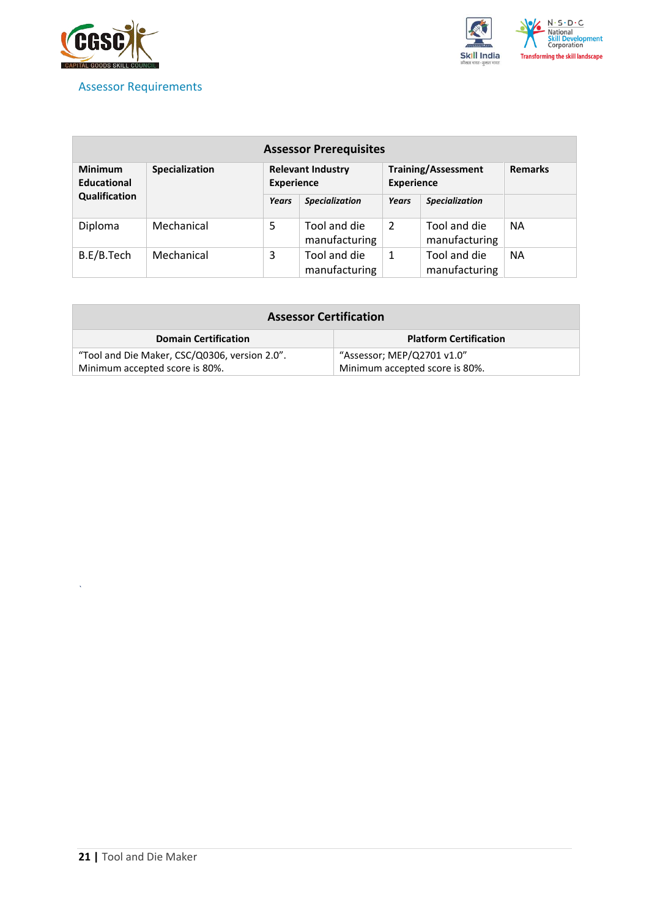

### <span id="page-20-0"></span>Assessor Requirements



| <b>Assessor Prerequisites</b> |                |                                               |                               |                                                 |                               |                |
|-------------------------------|----------------|-----------------------------------------------|-------------------------------|-------------------------------------------------|-------------------------------|----------------|
| <b>Minimum</b><br>Educational | Specialization | <b>Relevant Industry</b><br><b>Experience</b> |                               | <b>Training/Assessment</b><br><b>Experience</b> |                               | <b>Remarks</b> |
| Qualification                 |                | Years                                         | <b>Specialization</b>         | Years                                           | <b>Specialization</b>         |                |
| Diploma                       | Mechanical     | 5                                             | Tool and die<br>manufacturing | $\overline{2}$                                  | Tool and die<br>manufacturing | <b>NA</b>      |
| B.E/B.Tech                    | Mechanical     | 3                                             | Tool and die<br>manufacturing | 1                                               | Tool and die<br>manufacturing | <b>NA</b>      |

| <b>Assessor Certification</b>                 |                                |  |
|-----------------------------------------------|--------------------------------|--|
| <b>Domain Certification</b>                   | <b>Platform Certification</b>  |  |
| "Tool and Die Maker, CSC/Q0306, version 2.0". | "Assessor; MEP/Q2701 v1.0"     |  |
| Minimum accepted score is 80%.                | Minimum accepted score is 80%. |  |

*`*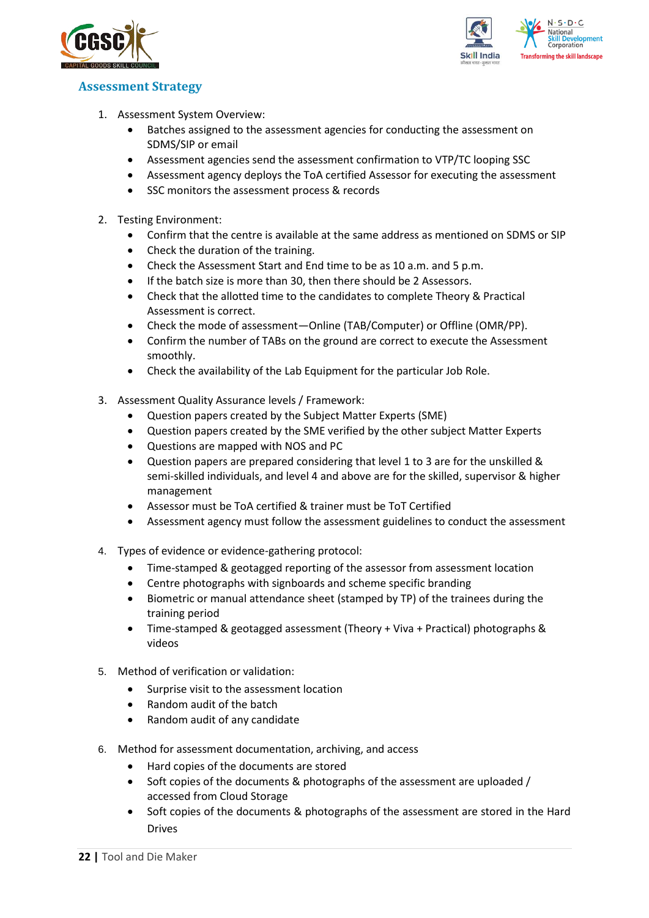



### <span id="page-21-0"></span>**Assessment Strategy**

- 1. Assessment System Overview:
	- Batches assigned to the assessment agencies for conducting the assessment on SDMS/SIP or email
	- Assessment agencies send the assessment confirmation to VTP/TC looping SSC
	- Assessment agency deploys the ToA certified Assessor for executing the assessment
	- SSC monitors the assessment process & records
- 2. Testing Environment:
	- Confirm that the centre is available at the same address as mentioned on SDMS or SIP
	- Check the duration of the training.
	- Check the Assessment Start and End time to be as 10 a.m. and 5 p.m.
	- If the batch size is more than 30, then there should be 2 Assessors.
	- Check that the allotted time to the candidates to complete Theory & Practical Assessment is correct.
	- Check the mode of assessment—Online (TAB/Computer) or Offline (OMR/PP).
	- Confirm the number of TABs on the ground are correct to execute the Assessment smoothly.
	- Check the availability of the Lab Equipment for the particular Job Role.
- 3. Assessment Quality Assurance levels / Framework:
	- Question papers created by the Subject Matter Experts (SME)
	- Question papers created by the SME verified by the other subject Matter Experts
	- Questions are mapped with NOS and PC
	- Question papers are prepared considering that level 1 to 3 are for the unskilled & semi-skilled individuals, and level 4 and above are for the skilled, supervisor & higher management
	- Assessor must be ToA certified & trainer must be ToT Certified
	- Assessment agency must follow the assessment guidelines to conduct the assessment
- 4. Types of evidence or evidence-gathering protocol:
	- Time-stamped & geotagged reporting of the assessor from assessment location
	- Centre photographs with signboards and scheme specific branding
	- Biometric or manual attendance sheet (stamped by TP) of the trainees during the training period
	- Time-stamped & geotagged assessment (Theory + Viva + Practical) photographs & videos
- 5. Method of verification or validation:
	- Surprise visit to the assessment location
	- Random audit of the batch
	- Random audit of any candidate
- 6. Method for assessment documentation, archiving, and access
	- Hard copies of the documents are stored
	- Soft copies of the documents & photographs of the assessment are uploaded / accessed from Cloud Storage
	- Soft copies of the documents & photographs of the assessment are stored in the Hard Drives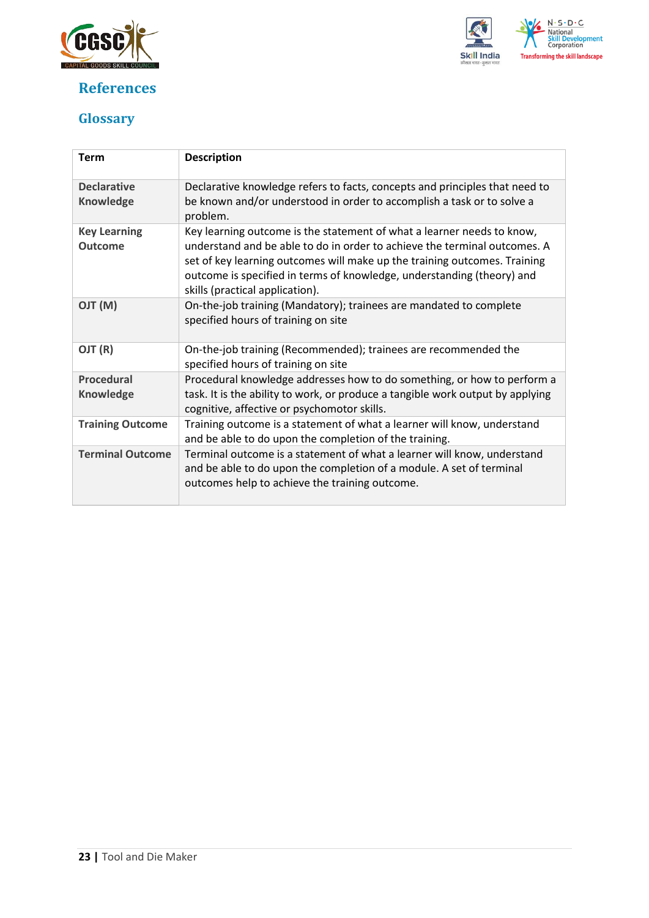

## <span id="page-22-0"></span>**References**



## <span id="page-22-1"></span>**Glossary**

| <b>Term</b>                            | <b>Description</b>                                                                                                                                                                                                                                                                                                                            |
|----------------------------------------|-----------------------------------------------------------------------------------------------------------------------------------------------------------------------------------------------------------------------------------------------------------------------------------------------------------------------------------------------|
| <b>Declarative</b><br><b>Knowledge</b> | Declarative knowledge refers to facts, concepts and principles that need to<br>be known and/or understood in order to accomplish a task or to solve a<br>problem.                                                                                                                                                                             |
| <b>Key Learning</b><br><b>Outcome</b>  | Key learning outcome is the statement of what a learner needs to know,<br>understand and be able to do in order to achieve the terminal outcomes. A<br>set of key learning outcomes will make up the training outcomes. Training<br>outcome is specified in terms of knowledge, understanding (theory) and<br>skills (practical application). |
| (M) TLO                                | On-the-job training (Mandatory); trainees are mandated to complete<br>specified hours of training on site                                                                                                                                                                                                                                     |
| OJT (R)                                | On-the-job training (Recommended); trainees are recommended the<br>specified hours of training on site                                                                                                                                                                                                                                        |
| <b>Procedural</b>                      | Procedural knowledge addresses how to do something, or how to perform a                                                                                                                                                                                                                                                                       |
| <b>Knowledge</b>                       | task. It is the ability to work, or produce a tangible work output by applying<br>cognitive, affective or psychomotor skills.                                                                                                                                                                                                                 |
| <b>Training Outcome</b>                | Training outcome is a statement of what a learner will know, understand<br>and be able to do upon the completion of the training.                                                                                                                                                                                                             |
| <b>Terminal Outcome</b>                | Terminal outcome is a statement of what a learner will know, understand<br>and be able to do upon the completion of a module. A set of terminal<br>outcomes help to achieve the training outcome.                                                                                                                                             |